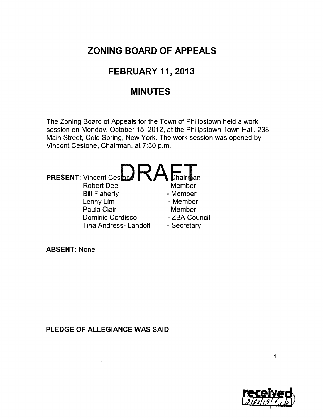## **ZONING BOARD OF APPEALS**

## **FEBRUARY 11, 2013**

### **MINUTES**

The Zoning Board of Appeals for the Town of Philipstown held a work session on Monday, October 15, 2012, at the Philipstown Town Hall, 238 Main Street, Cold Spring, New York. The work session was opened by Vincent Cestone, Chairman, at 7:30 p.m.



**ABSENT:** None

**PLEDGE OF ALLEGIANCE WAS SAID** 

 $\mathbf{A}^{(n)}$  .



 $\mathbf{1}$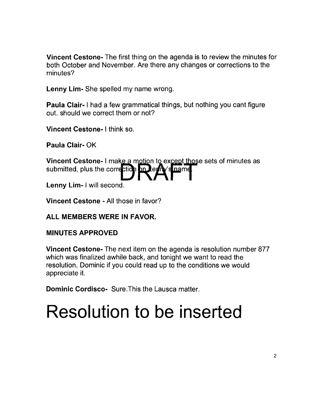**Vincent Cestone-** The first thing on the agenda is to review the minutes for both October and November. Are there any changes or corrections to the minutes?

**Lenny Lim-** She spelled my name wrong.

**Paula Clair-** I had a few grammatical things, but nothing you cant figure out. should we correct them or not?

**Vincent Cestone- I** think so.

**Paula Clair- OK** 

**Vincent Cestone-** I make a motion to except those sets of minutes as submitted, plus the correction on learly's name.

**Lenny Lim- I** will second.

**Vincent Cestone -** All those in favor?

#### **ALL MEMBERS WERE IN FAVOR.**

#### **MINUTES APPROVED**

**Vincent Cestone-** The next item on the agenda is resolution number 877 which was finalized awhile back, and tonight we want to read the resolution. Dominic if you could read up to the conditions we would appreciate it.

**Dominic Cordisco-** Sure.This the Lausca matter.

# **Resolution to be inserted**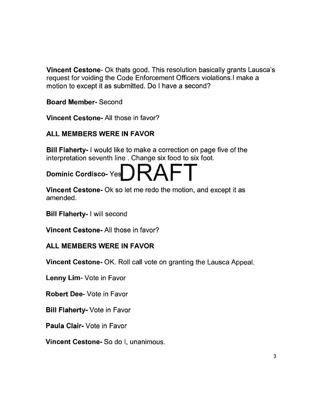**Vincent Cestone-** Ok thats good. This resolution basically grants Lausca's request for voiding the Code Enforcement Officers violations. I make a motion to except it as submitted. Do I have a second?

**Board Member-** Second

**Vincent Cestone-** All those in favor?

#### **ALL MEMBERS WERE IN FAVOR**

**Bill Flaherty- I** would like to make a correction on page five of the interpretation seventh line. Change six food to six foot.



**Vincent Cestone-** Ok so let me redo the motion, and except it as amended.

**Bill Flaherty- I** will second

**Vincent Cestone-** All those in favor?

#### **ALL MEMBERS WERE IN FAVOR**

**Vincent Cestone-** OK. Roll call vote on granting the Lausca Appeal.

**Lenny Lim-** Vote in Favor

**Robert Dee-** Vote in Favor

**Bill Flaherty-** Vote in Favor

**Paula Clair-** Vote in Favor

**Vincent Cestone-** So do I, unanimous.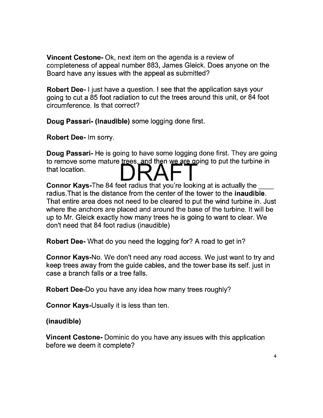Vincent Cestone- Ok, next item on the agenda is a review of completeness of appeal number 883, James Gleick. Does anyone on the Board have any issues with the appeal as submitted?

Robert Dee- I just have a question. I see that the application says your going to cut a 85 foot radiation to cut the trees around this unit, or 84 foot circumference. Is that correct?

Doug Passari- (Inaudible) some logging done first.

Robert Dee- Im sorry.

Doug Passari- He is going to have some logging done first. They are going **Doug Passari-** He is going to have some logging done first. They are goir<br>to remove some mature trees, and then we are going to put the turbine in to remove some mature trees, and then we are got<br>that location.

Connor Kays-The 84 feet radius that you're looking at is actually the radius. That is the distance from the center of the tower to the **inaudible**. That entire area does not need to be cleared to put the wind turbine in. Just where the anchors are placed and around the base of the turbine. It will be up to Mr. Gleick exactly how many trees he is going to want to clear. We don't need that 84 foot radius (inaudible)

Robert Dee- What do you need the logging for? A road to get in?

Connor Kays-No. We don't need any road access. We just want to try and keep trees away from the guide cables, and the tower base its self. just in case a branch falls or a tree falls.

Robert Dee-Do you have any idea how many trees roughly?

Connor Kays-Usually it is less than ten.

(inaudible)

Vincent Cestone- Dominic do you have any issues with this application before we deem it complete?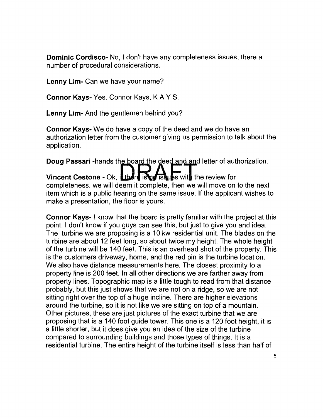**Dominic Cordisco-** No, I don't have any completeness issues, there a number of procedural considerations.

**Lenny Lim-** Can we have your name?

**Connor Kays-** Yes. Connor Kays, KAY S.

**Lenny Lim-** And the gentlemen behind you?

**Connor Kays-** We do have a copy of the deed and we do have an authorization letter from the customer giving us permission to talk about the application.

**Doug Passari** -hands the board the deed and and letter of authorization.

**Vincent Cestone - Ok, il there is no issues with the review for** completeness. we will deem it complete, then we will move on to the next item which is a public hearing on the same issue. If the applicant wishes to make a presentation, the floor is yours.

**Connor Kays- I** know that the board is pretty familiar with the project at this point. I don't know if you guys can see this, but just to give you and idea. The turbine we are proposing is a 10 kw residential unit. The blades on the turbine are about 12 feet long, so about twice my height. The whole height of the turbine will be 140 feet. This is an overhead shot of the property. This is the customers driveway, home, and the red pin is the turbine location. We also have distance measurements here. The closest proximity to a property line is 200 feet. In all other directions we are farther away from property lines. Topographic map is a little tough to read from that distance probably, but this just shows that we are not on a ridge, so we are not sitting right over the top of a huge incline. There are higher elevations around the turbine, so it is not like we are sitting on top of a mountain. Other pictures, these are just pictures of the exact turbine that we are proposing that is a 140 foot guide tower. This one is a 120 foot height, it is a little shorter, but it does give you an idea of the size of the turbine compared to surrounding buildings and those types of things. It is a residential turbine. The entire height of the turbine itself is less than half of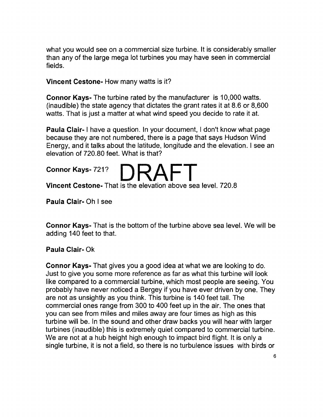what you would see on a commercial size turbine. It is considerably smaller than any of the large mega lot turbines you may have seen in commercial fields.

#### Vincent Cestone- How many watts is it?

Connor Kays- The turbine rated by the manufacturer is 10,000 watts. (inaudible) the state agency that dictates the grant rates it at 8.6 or 8,600 watts. That is just a matter at what wind speed you decide to rate it at.

Paula Clair- I have a question. In your document, I don't know what page because they are not numbered, there is a page that says Hudson Wind Energy, and it talks about the latitude, longitude and the elevation. I see an elevation of 720.80 feet. What is that?

Connor Kays- 721? Vincent Cestone- That is the elevation above sea level. 720.8

Paula Clair- Oh I see

Connor Kays- That is the bottom of the turbine above sea level. We will be adding 140 feet to that.

#### Paula Clair- Ok

Connor Kays- That gives you a good idea at what we are looking to do. Just to give you some more reference as far as what this turbine will look like compared to a commercial turbine, which most people are seeing. You probably have never noticed a Bergey if you have ever driven by one. They are not as unsightly as you think. This turbine is 140 feet tall. The commercial ones range from 300 to 400 feet up in the air. The ones that you can see from miles and miles away are four times as high as this turbine will be. In the sound and other draw backs you will hear with larger turbines (inaudible) this is extremely quiet compared to commercial turbine. We are not at a hub height high enough to impact bird flight. It is only a single turbine, it is not a field, so there is no turbulence issues with birds or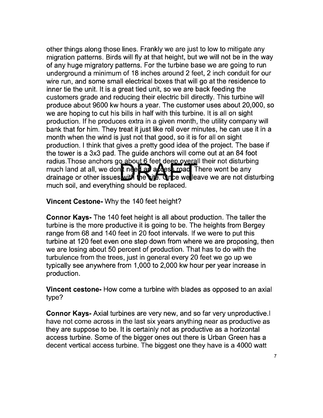other things along those lines. Frankly we are just to low to mitigate any migration patterns. Birds will fly at that height, but we will not be in the way of any huge migratory patterns. For the turbine base we are going to run underground a minimum of 18 inches around 2 feet, 2 inch conduit for our wire run, and some small electrical boxes that will go at the residence to inner tie the unit. It is a great tied unit, so we are back feeding the customers grade and reducing their electric bill directly. This turbine will produce about 9600 kw hours a year. The customer uses about 20,000, so we are hoping to cut his bills in half with this turbine. It is all on sight production. If he produces extra in a given month, the utility company will bank that for him. They treat it just like roll over minutes, he can use it in a month when the wind is just not that good, so it is for all on sight production. I think that gives a pretty good idea of the project. The base if the tower is a 3x3 pad. The guide anchors will come out at an 84 foot radius. Those anchors go about 6 feet deep overall their not disturbing much land at all, we dont need at a rest road There wont be any drainage or other issues with the site. Once we leave we are not disturbing much soil, and everything should be replaced.

**Vincent Cestone-** Why the 140 feet height?

**Connor Kays-** The 140 feet height is all about production. The taller the turbine is the more productive it is going to be. The heights from Bergey range from 68 and 140 feet in 20 foot intervals. If we were to put this turbine at 120 feet even one step down from where we are proposing, then we are losing about 50 percent of production. That has to do with the turbulence from the trees, just in general every 20 feet we go up we typically see anywhere from 1,000 to 2,000 kw hour per year increase in production.

**Vincent cestone-** How come a turbine with blades as opposed to an axial type?

**Connor Kays-** Axial turbines are very new, and so far very unproductive.1 have not come across in the last six years anything near as productive as they are suppose to be. It is certainly not as productive as a horizontal access turbine. Some of the bigger ones out there is Urban Green has a decent vertical access turbine. The biggest one they have is a 4000 watt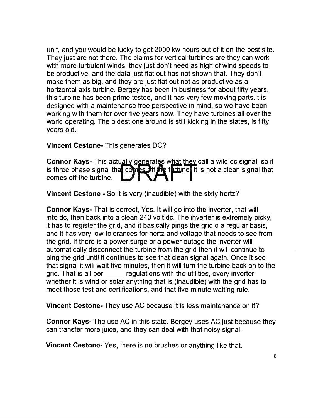unit, and you would be lucky to get 2000 kw hours out of it on the best site. They just are not there. The claims for vertical turbines are they can work with more turbulent winds, they just don't need as high of wind speeds to be productive, and the data just flat out has not shown that. They don't make them as big, and they are just flat out not as productive as a horizontal axis turbine. Bergey has been in business for about fifty years, this turbine has been prime tested, and it has very few moving parts. It is designed with a maintenance free perspective in mind, so we have been working with them for over five years now. They have turbines all over the world operating. The oldest one around is still kicking in the states, is fifty years old.

#### **Vincent Cestone-** This generates DC?

**Connor Kays-** This actually generates what they call a wild dc signal, so it is three phase signal that comes off the turbine It is not a clean signal that comes off the turbine.

**Vincent Cestone -** So it is very (inaudible) with the sixty hertz?

**Connor Kays-** That is correct, Yes. It will go into the inverter, that will\_ into dc, then back into a clean 240 volt dc. The inverter is extremely picky, it has to register the grid, and it basically pings the grid 0 a regular basis, and it has very low tolerances for hertz and voltage that needs to see from the grid. If there is a power surge or a power outage the inverter will automatically disconnect the turbine from the grid then it will continue to ping the grid until it continues to see that clean signal again. Once it see that signal it will wait five minutes, then it will turn the turbine back on to the grid. That is all per regulations with the utilities, every inverter whether it is wind or solar anything that is (inaudible) with the grid has to meet those test and certifications, and that five minute waiting rule.

**Vincent Cestone-** They use AC because it is less maintenance on it?

**Connor Kays-** The use AC in this state. Bergey uses AC just because they can transfer more juice, and they can deal with that noisy signal.

**Vincent Cestone-** Yes, there is no brushes or anything like that.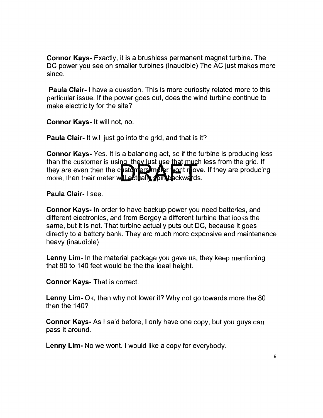**Connor Kays-** Exactly, it is a brushless permanent magnet turbine. The DC power you see on smaller turbines (inaudible) The AC just makes more since.

**Paula Clair-** I have a question. This is more curiosity related more to this particular issue. If the power goes out, does the wind turbine continue to make electricity for the site?

**Connor Kays-** It will not, no.

**Paula Clair-** It will just go into the grid, and that is it?

**Connor Kays-** Yes. It is a balancing act, so if the turbine is producing less than the customer is using, they just use that much less from the grid. If they are even then the customers meter wont move. If they are producing more, then their meter will actually spin backwards.

**Paula Clair- I** see.

**Connor Kays-** In order to have backup power you need batteries, and different electronics, and from Bergey a different turbine that looks the same, but it is not. That turbine actually puts out DC, because it goes directly to a battery bank. They are much more expensive and maintenance heavy (inaudible)

**Lenny Lim-** In the material package you gave us, they keep mentioning that 80 to 140 feet would be the the ideal height.

**Connor Kays-** That is correct.

**Lenny Lim-** Ok, then why not lower it? Why not go towards more the 80 then the 140?

**Connor Kays-** As I said before, I only have one copy, but you guys can pass it around.

**Lenny Lim-** No we wont. I would like a copy for everybody.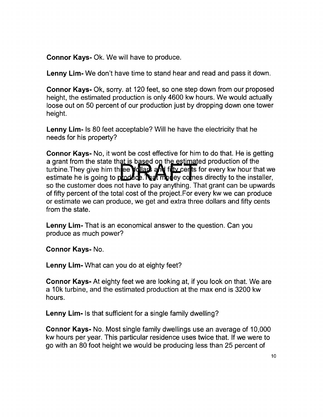**Connor Kays-** Ok. We will have to produce.

**Lenny Lim-** We don't have time to stand hear and read and pass it down.

**Connor Kays-** Ok, sorry. at 120 feet, so one step down from our proposed height, the estimated production is only 4600 kw hours. We would actually loose out on 50 percent of our production just by dropping down one tower height.

**Lenny Lim-** Is 80 feet acceptable? Will he have the electricity that he needs for his property?

**Connor Kays-** No, it wont be cost effective for him to do that. He is getting a grant from the state that is based on the estimated production of the turbine. They give him three youard and future its for every kw hour that we estimate he is going to  $p$  and  $q$ . Not modely comes directly to the installer, so the customer does not have to pay anything. That grant can be upwards of fifty percent of the total cost of the project.For every kw we can produce or estimate we can produce, we get and extra three dollars and fifty cents from the state.

**Lenny Lim-** That is an economical answer to the question. Can you produce as much power?

**Connor Kays-** No.

**Lenny Lim-** What can you do at eighty feet?

**Connor Kays-** At eighty feet we are looking at, if you look on that. We are a 10k turbine, and the estimated production at the max end is 3200 kw hours.

**Lenny Lim-** Is that sufficient for a single family dwelling?

**Connor Kays-** No. Most single family dwellings use an average of 10,000 kw hours per year. This particular residence uses twice that. If we were to go with an 80 foot height we would be producing less than 25 percent of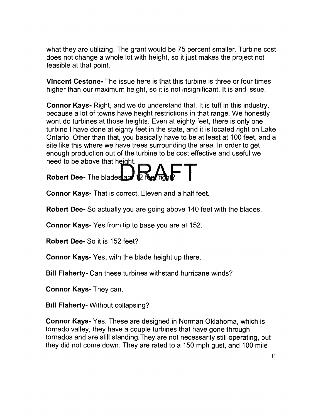what they are utilizing. The grant would be 75 percent smaller. Turbine cost does not change a whole lot with height, so it just makes the project not feasible at that point.

**Vincent Cestone-** The issue here is that this turbine is three or four times higher than our maximum height, so it is not insignificant. It is and issue.

**Connor Kays-** Right, and we do understand that. It is tuff in this industry, because a lot of towns have height restrictions in that range. We honestly wont do turbines at those heights. Even at eighty feet, there is only one turbine I have done at eighty feet in the state, and it is located right on Lake Ontario. Other than that, you basically have to be at least at 100 feet, and a site like this where we have trees surrounding the area. In order to get enough production out of the turbine to be cost effective and useful we need to be above that height.



**Connor Kays-** That is correct. Eleven and a half feet.

**Robert Dee-** So actually you are going above 140 feet with the blades.

**Connor Kays-** Yes from tip to base you are at 152.

**Robert Dee-** So it is 152 feet?

**Connor Kays-** Yes, with the blade height up there.

**Bill Flaherty-** Can these turbines withstand hurricane winds?

**Connor Kays-** They can.

**Bill Flaherty-** Without collapsing?

**Connor Kays-** Yes. These are designed in Norman Oklahoma, which is tornado valley, they have a couple turbines that have gone through tornados and are still standing.They are not necessarily still operating, but they did not come down. They are rated to a 150 mph gust, and 100 mile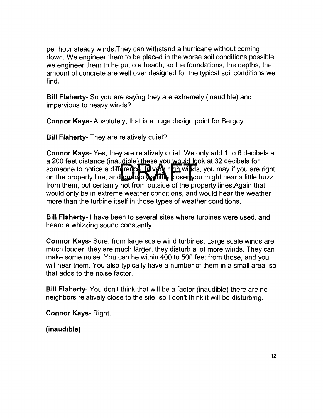per hour steady winds.They can withstand a hurricane without coming down. We engineer them to be placed in the worse soil conditions possible, we engineer them to be put 0 a beach, so the foundations, the depths, the amount of concrete are well over designed for the typical soil conditions we find.

Bill Flaherty- So you are saying they are extremely (inaudible) and impervious to heavy winds?

Connor Kays- Absolutely, that is a huge design point for Bergey.

Bill Flaherty- They are relatively quiet?

Connor Kays- Yes, they are relatively quiet. We only add 1 to 6 decibels at a 200 feet distance (inaudible) these you would look at 32 decibels for someone to notice a difference. If  $v \notin \mathbf{R}$  hab winds, you may if you are right on the property line, and brobably a little bloser you might hear a little buzz from them, but certainly not from outside of the property Iines.Again that would only be in extreme weather conditions, and would hear the weather more than the turbine itself in those types of weather conditions.

Bill Flaherty- I have been to several sites where turbines were used, and I heard a whizzing sound constantly.

Connor Kays- Sure, from large scale wind turbines. Large scale winds are much louder, they are much larger, they disturb a lot more winds. They can make some noise. You can be within 400 to 500 feet from those, and you will hear them. You also typically have a number of them in a small area, so that adds to the noise factor.

Bill Flaherty- You don't think that will be a factor (inaudible) there are no neighbors relatively close to the site, so I don't think it will be disturbing.

Connor Kays- Right.

(inaudible)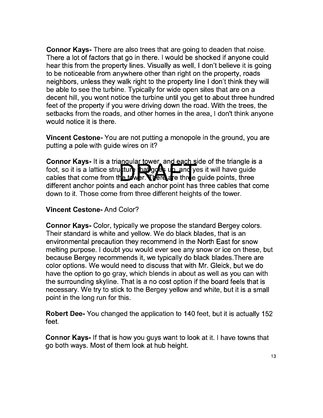**Connor Kays-** There are also trees that are going to deaden that noise. There a lot of factors that go in there. I would be shocked if anyone could hear this from the property lines. Visually as well, I don't believe it is going to be noticeable from anywhere other than right on the property, roads neighbors, unless they walk right to the property line I don't think they will be able to see the turbine. Typically for wide open sites that are on a decent hill, you wont notice the turbine until you get to about three hundred feet of the property if you were driving down the road. With the trees, the setbacks from the roads, and other homes in the area, I don't think anyone would notice it is there.

**Vincent Cestone-** You are not putting a monopole in the ground, you are putting a pole with guide wires on it?

**Connor Kays-** It is a triangular tower, and each side of the triangle is a foot, so it is a lattice structure having the and yes it will have guide cables that come from the tower. There are three quide points, three different anchor points and each anchor point has three cables that come down to it. Those come from three different heights of the tower.

#### **Vincent Cestone-** And Color?

**Connor Kays-** Color, typically we propose the standard Bergey colors. Their standard is white and yellow. We do black blades, that is an environmental precaution they recommend in the North East for snow melting purpose. I doubt you would ever see any snow or ice on these, but because Bergey recommends it, we typically do black blades.There are color options. We would need to discuss that with Mr. Gleick, but we do have the option to go gray, which blends in about as well as you can with the surrounding skyline. That is a no cost option if the board feels that is necessary. We try to stick to the Bergey yellow and white, but it is a small point in the long run for this.

**Robert Dee-** You changed the application to 140 feet, but it is actually 152 feet.

**Connor Kays-** If that is how you guys want to look at it. I have towns that go both ways. Most of them look at hub height.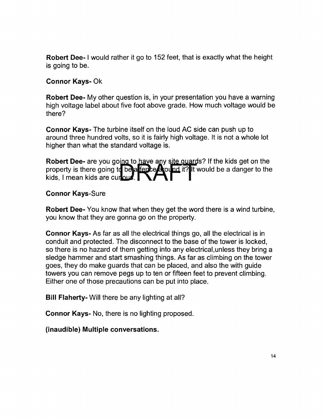Robert Dee- I would rather it go to 152 feet, that is exactly what the height is going to be.

#### Connor Kays- Ok

Robert Dee- My other question is, in your presentation you have a warning high voltage label about five foot above grade. How much voltage would be there?

Connor Kays- The turbine itself on the loud AC side can push up to around three hundred volts, so it is fairly high voltage. It is not a whole lot higher than what the standard voltage is.

Robert Dee- are you going to have any site quards? If the kids get on the property is there going to be a fept exact it? It would be a danger to the kids, I mean kids are currous.

#### Connor Kays-Sure

Robert Dee- You know that when they get the word there is a wind turbine, you know that they are gonna go on the property.

Connor Kays- As far as all the electrical things go, all the electrical is in conduit and protected. The disconnect to the base of the tower is locked, so there is no hazard of them getting into any electrical,unless they bring a sledge hammer and start smashing things. As far as climbing on the tower goes, they do make guards that can be placed, and also the with guide towers you can remove pegs up to ten or fifteen feet to prevent climbing. Either one of those precautions can be put into place.

Bill Flaherty- Will there be any lighting at all?

Connor Kays- No, there is no lighting proposed.

(inaudible) Multiple conversations.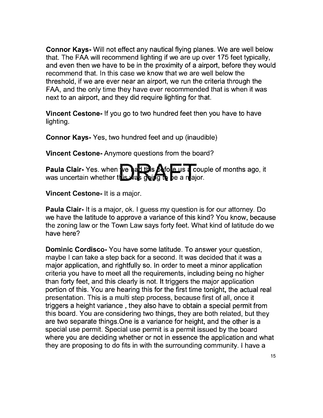Connor Kays- Will not effect any nautical flying planes. We are well below that. The FAA will recommend lighting if we are up over 175 feet typically, and even then we have to be in the proximity of a airport, before they would recommend that. In this case we know that we are well below the threshold, if we are ever near an airport, we run the criteria through the FAA, and the only time they have ever recommended that is when it was next to an airport, and they did require lighting for that.

Vincent Cestone- If you go to two hundred feet then you have to have lighting.

Connor Kays- Yes, two hundred feet and up (inaudible)

Vincent Cestone- Anymore questions from the board?

Paula Clair- Yes. when we had this Afole us a couple of months ago, it was uncertain whether this was going to be a major.

Vincent Cestone- It is a major.

Paula Clair- It is a major, ok. I guess my question is for our attorney. Do we have the latitude to approve a variance of this kind? You know, because the zoning law or the Town Law says forty feet. What kind of latitude do we have here?

Dominic Cordisco- You have some latitude. To answer your question, maybe I can take a step back for a second. It was decided that it was a major application, and rightfully so. In order to meet a minor application criteria you have to meet all the requirements, including being no higher than forty feet, and this clearly is not. It triggers the major application portion of this. You are hearing this for the first time tonight, the actual real presentation. This is a multi step process, because first of all, once it triggers a height variance, they also have to obtain a special permit from this board. You are considering two things, they are both related, but they are two separate things.One is a variance for height, and the other is a special use permit. Special use permit is a permit issued by the board where you are deciding whether or not in essence the application and what they are proposing to do fits in with the surrounding community. I have a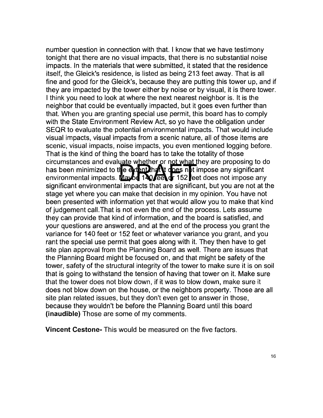number question in connection with that. I know that we have testimony tonight that there are no visual impacts, that there is no substantial noise impacts. In the materials that were submitted, it stated that the residence itself, the Gleick's residence, is listed as being 213 feet away. That is all fine and good for the Gleick's, because they are putting this tower up, and if they are impacted by the tower either by noise or by visual, it is there tower. I think you need to look at where the next nearest neighbor is. It is the neighbor that could be eventually impacted, but it goes even further than that. When you are granting special use permit, this board has to comply with the State Environment Review Act, so yo have the obligation under SEQR to evaluate the potential environmental impacts. That would include visual impacts, visual impacts from a scenic nature, all of those items are scenic, visual impacts, noise impacts, you even mentioned logging before. That is the kind of thing the board has to take the totality of those circumstances and evaluate whether or not what they are proposing to do has been minimized to the extent hat it does not impose any significant environmental impacts. Mayon 140/eet of 152 eet does not impose any significant environmental impacts that are significant, but you are not at the stage yet where you can make that decision in my opinion. You have not been presented with information yet that would allow you to make that kind of judgement call.That is not even the end of the process. Lets assume they can provide that kind of information, and the board is satisfied, and your questions are answered, and at the end of the process you grant the variance for 140 feet or 152 feet or whatever variance you grant, and you rant the special use permit that goes along with it. They then have to get site plan approval from the Planning Board as well. There are issues that the Planning Board might be focused on, and that might be safety of the tower, safety of the structural integrity of the tower to make sure it is on soil that is going to withstand the tension of having that tower on it. Make sure that the tower does not blow down, if it was to blow down, make sure it does not blow down on the house, or the neighbors property. Those are all site plan related issues, but they don't even get to answer in those, because they wouldn't be before the Planning Board until this board **(inaudible)** Those are some of my comments.

**Vincent Cestone-** This would be measured on the five factors.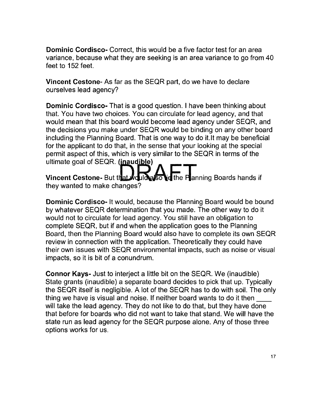**Dominic Cordisco-** Correct, this would be a five factor test for an area variance, because what they are seeking is an area variance to go from 40 feet to 152 feet.

**Vincent Cestone-** As far as the SEQR part, do we have to declare ourselves lead agency?

**Dominic Cordisco-** That is a good question. I have been thinking about that. You have two choices. You can circulate for lead agency, and that would mean that this board would become lead agency under SEQR, and the decisions you make under SEQR would be binding on any other board including the Planning Board. That is one way to do it. It may be beneficial for the applicant to do that, in the sense that your looking at the special permit aspect of this, which is very similar to the SEQR in terms of the ultimate goal of  $SEQR$ . (in audible)

Vincent Cestone- But that Would also lie the Planning Boards hands if they wanted to make changes?

**Dominic Cordisco-** It would, because the Planning Board would be bound by whatever SEQR determination that you made. The other way to do it would not to circulate for lead agency. You still have an obligation to complete SEQR, but if and when the application goes to the Planning Board, then the Planning Board would also have to complete its own SEQR review in connection with the application. Theoretically they could have their own issues with SEQR environmental impacts, such as noise or visual impacts, so it is bit of a conundrum.

**Connor Kays-** Just to interject a little bit on the SEQR. We (inaudible) State grants (inaudible) a separate board decides to pick that up. Typically the SEQR itself is negligible. A lot of the SEQR has to do with soil. The only thing we have is visual and noise. If neither board wants to do it then will take the lead agency. They do not like to do that, but they have done that before for boards who did not want to take that stand. We will have the state run as lead agency for the SEQR purpose alone. Any of those three options works for us.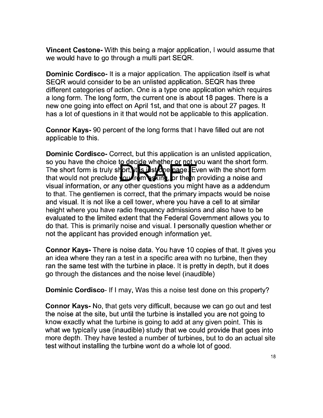**Vincent Cestone-** With this being a major application, I would assume that we would have to go through a multi part SEQR.

**Dominic Cordisco-** It is a major application. The application itself is what SEQR would consider to be an unlisted application. SEQR has three different categories of action. One is a type one application which requires a long form. The long form, the current one is about 18 pages. There is a new one going into effect on April 1st, and that one is about 27 pages. It has a lot of questions in it that would not be applicable to this application.

**Connor Kays-** 90 percent of the long forms that I have filled out are not applicable to this.

**Dominic Cordisco-** Correct, but this application is an unlisted application, so you have the choice to decide whether or not you want the short form. The short form is truly short, it is instrumed page. Even with the short form that would not preclude  $\frac{1}{2}$  minimum sking, or the m providing a noise and visual information, or any other questions you might have as a addendum to that. The gentlemen is correct, that the primary impacts would be noise and visual. It is not like a cell tower, where you have a cell to at similar height where you have radio frequency admissions and also have to be evaluated to the limited extent that the Federal Government allows you to do that. This is primarily noise and visual. I personally question whether or not the applicant has provided enough information yet.

**Connor Kays-** There is noise data. You have 10 copies of that. It gives you an idea where they ran a test in a specific area with no turbine, then they ran the same test with the turbine in place. It is pretty in depth, but it does go through the distances and the noise level (inaudible)

**Dominic Cordisco-** If I may, Was this a noise test done on this property?

**Connor Kays-** No, that gets very difficult, because we can go out and test the noise at the site, but until the turbine is installed you are not going to know exactly what the turbine is going to add at any given point. This is what we typically use (inaudible) study that we could provide that goes into more depth. They have tested a number of turbines, but to do an actual site test without installing the turbine wont do a whole lot of good.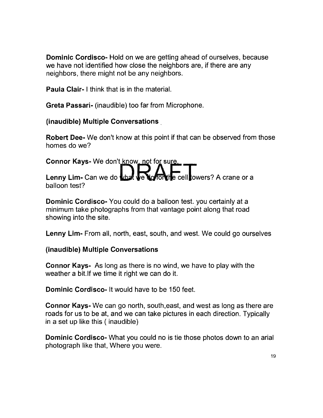**Dominic Cordisco-** Hold on we are getting ahead of ourselves, because we have not identified how close the neighbors are, if there are any neighbors, there might not be any neighbors.

**Paula Clair- I** think that is in the material.

**Greta Passari-** (inaudible) too far from Microphone.

**(inaudible) Multiple Conversations\_** 

**Robert Dee-** We don't know at this point if that can be observed from those homes do we?

**Connor Kays-** We don't know, not for sure. Lenny Lim- Can we do what we do to the cell towers? A crane or a balloon test?

**Dominic Cordisco-** You could do a balloon test. you certainly at a minimum take photographs from that vantage point along that road showing into the site.

**Lenny Lim-** From all, north, east, south, and west. We could go ourselves

#### **(inaudible) Multiple Conversations**

**Connor Kays-** As long as there is no wind, we have to play with the weather a bit. If we time it right we can do it.

**Dominic Cordisco-** It would have to be 150 feet.

**Connor Kays-** We can go north, south,east, and west as long as there are roads for us to be at, and we can take pictures in each direction. Typically in a set up like this ( inaudible)

**Dominic Cordisco-** What you could no is tie those photos down to an arial photograph like that, Where you were.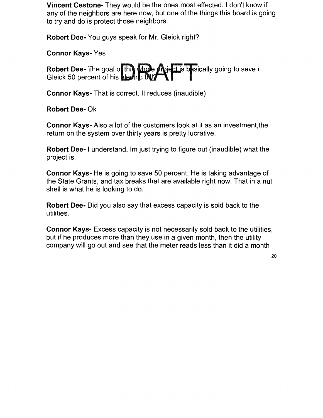**Vincent Cestone-** They would be the ones most effected. I don't know if any of the neighbors are here now, but one of the things this board is going to try and do is protect those neighbors.

**Robert Dee-** You guys speak for Mr. Gleick right?

**Connor Kays-** Yes

**Robert Dee-** The goal of this whole project is basically going to save r. Gleick 50 percent of his **electric Buy** 

**Connor Kays-** That is correct. It reduces (inaudible)

**Robert Dee- Ok** 

**Connor Kays-** Also a lot of the customers look at it as an investment,the return on the system over thirty years is pretty lucrative.

**Robert Dee-** I understand, Im just trying to figure out (inaudible) what the project is.

**Connor Kays-** He is going to save 50 percent. He is taking advantage of the State Grants, and tax breaks that are available right now. That in a nut shell is what he is looking to do.

**Robert Dee-** Did you also say that excess capacity is sold back to the utilities.

**Connor Kays-** Excess capacity is not necessarily sold back to the utilities, but if he produces more than they use in a given month, then the utility company will go out and see that the meter reads less than it did a month